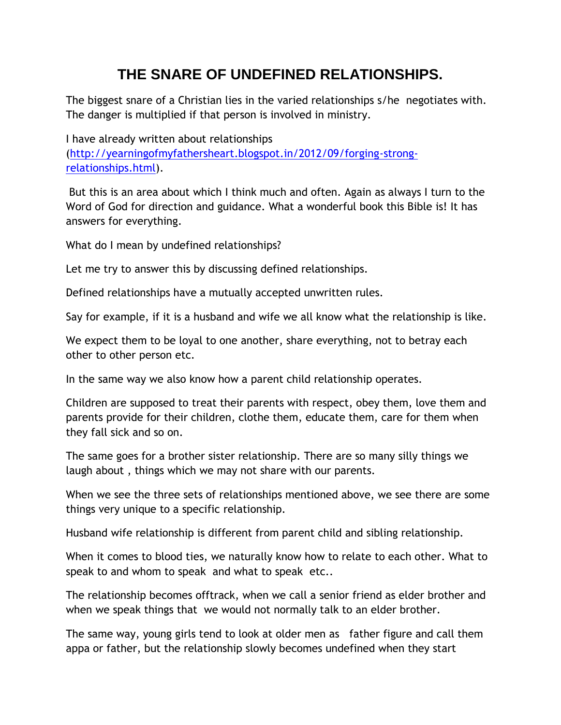## **THE SNARE OF UNDEFINED RELATIONSHIPS.**

The biggest snare of a Christian lies in the varied relationships s/he negotiates with. The danger is multiplied if that person is involved in ministry.

I have already written about relationships [\(http://yearningofmyfathersheart.blogspot.in/2012/09/forging-strong](http://yearningofmyfathersheart.blogspot.in/2012/09/forging-strong-relationships.html)[relationships.html\)](http://yearningofmyfathersheart.blogspot.in/2012/09/forging-strong-relationships.html).

But this is an area about which I think much and often. Again as always I turn to the Word of God for direction and guidance. What a wonderful book this Bible is! It has answers for everything.

What do I mean by undefined relationships?

Let me try to answer this by discussing defined relationships.

Defined relationships have a mutually accepted unwritten rules.

Say for example, if it is a husband and wife we all know what the relationship is like.

We expect them to be loyal to one another, share everything, not to betray each other to other person etc.

In the same way we also know how a parent child relationship operates.

Children are supposed to treat their parents with respect, obey them, love them and parents provide for their children, clothe them, educate them, care for them when they fall sick and so on.

The same goes for a brother sister relationship. There are so many silly things we laugh about , things which we may not share with our parents.

When we see the three sets of relationships mentioned above, we see there are some things very unique to a specific relationship.

Husband wife relationship is different from parent child and sibling relationship.

When it comes to blood ties, we naturally know how to relate to each other. What to speak to and whom to speak and what to speak etc..

The relationship becomes offtrack, when we call a senior friend as elder brother and when we speak things that we would not normally talk to an elder brother.

The same way, young girls tend to look at older men as father figure and call them appa or father, but the relationship slowly becomes undefined when they start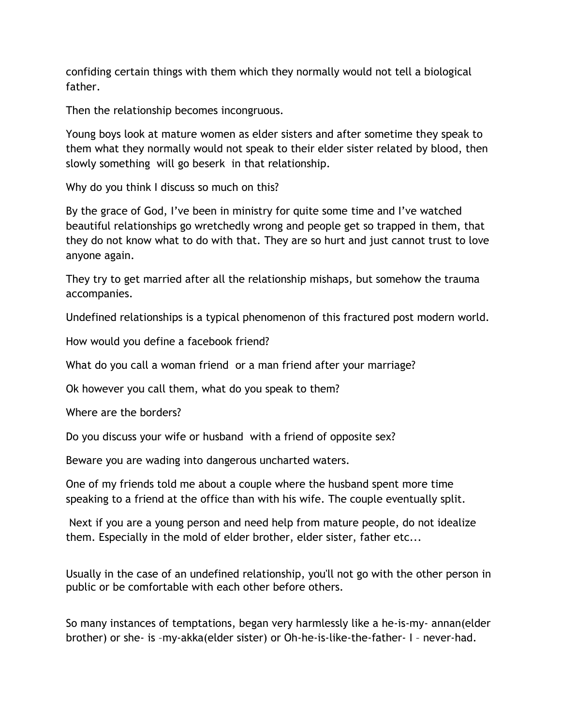confiding certain things with them which they normally would not tell a biological father.

Then the relationship becomes incongruous.

Young boys look at mature women as elder sisters and after sometime they speak to them what they normally would not speak to their elder sister related by blood, then slowly something will go beserk in that relationship.

Why do you think I discuss so much on this?

By the grace of God, I've been in ministry for quite some time and I've watched beautiful relationships go wretchedly wrong and people get so trapped in them, that they do not know what to do with that. They are so hurt and just cannot trust to love anyone again.

They try to get married after all the relationship mishaps, but somehow the trauma accompanies.

Undefined relationships is a typical phenomenon of this fractured post modern world.

How would you define a facebook friend?

What do you call a woman friend or a man friend after your marriage?

Ok however you call them, what do you speak to them?

Where are the borders?

Do you discuss your wife or husband with a friend of opposite sex?

Beware you are wading into dangerous uncharted waters.

One of my friends told me about a couple where the husband spent more time speaking to a friend at the office than with his wife. The couple eventually split.

Next if you are a young person and need help from mature people, do not idealize them. Especially in the mold of elder brother, elder sister, father etc...

Usually in the case of an undefined relationship, you'll not go with the other person in public or be comfortable with each other before others.

So many instances of temptations, began very harmlessly like a he-is-my- annan(elder brother) or she- is –my-akka(elder sister) or Oh-he-is-like-the-father- I – never-had.